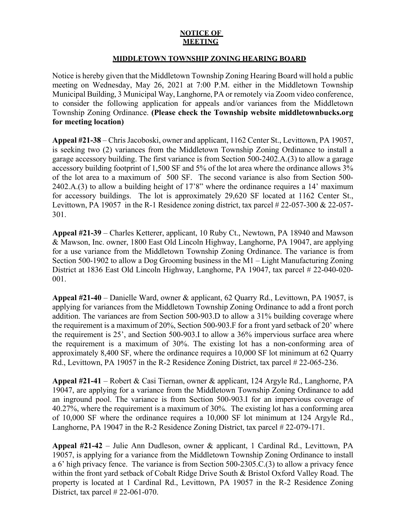## **NOTICE OF MEETING**

## **MIDDLETOWN TOWNSHIP ZONING HEARING BOARD**

Notice is hereby given that the Middletown Township Zoning Hearing Board will hold a public meeting on Wednesday, May 26, 2021 at 7:00 P.M. either in the Middletown Township Municipal Building, 3 Municipal Way, Langhorne, PA or remotely via Zoom video conference, to consider the following application for appeals and/or variances from the Middletown Township Zoning Ordinance. **(Please check the Township website middletownbucks.org for meeting location)** 

**Appeal #21-38** – Chris Jacoboski, owner and applicant, 1162 Center St., Levittown, PA 19057, is seeking two (2) variances from the Middletown Township Zoning Ordinance to install a garage accessory building. The first variance is from Section 500-2402.A.(3) to allow a garage accessory building footprint of 1,500 SF and 5% of the lot area where the ordinance allows 3% of the lot area to a maximum of 500 SF. The second variance is also from Section 500- 2402.A.(3) to allow a building height of 17'8" where the ordinance requires a 14' maximum for accessory buildings. The lot is approximately 29,620 SF located at 1162 Center St., Levittown, PA 19057 in the R-1 Residence zoning district, tax parcel # 22-057-300 & 22-057-301.

**Appeal #21-39** – Charles Ketterer, applicant, 10 Ruby Ct., Newtown, PA 18940 and Mawson & Mawson, Inc. owner, 1800 East Old Lincoln Highway, Langhorne, PA 19047, are applying for a use variance from the Middletown Township Zoning Ordinance. The variance is from Section 500-1902 to allow a Dog Grooming business in the M1 – Light Manufacturing Zoning District at 1836 East Old Lincoln Highway, Langhorne, PA 19047, tax parcel # 22-040-020- 001.

**Appeal #21-40** – Danielle Ward, owner & applicant, 62 Quarry Rd., Levittown, PA 19057, is applying for variances from the Middletown Township Zoning Ordinance to add a front porch addition. The variances are from Section 500-903.D to allow a 31% building coverage where the requirement is a maximum of 20%, Section 500-903.F for a front yard setback of 20' where the requirement is 25', and Section 500-903.I to allow a 36% impervious surface area where the requirement is a maximum of 30%. The existing lot has a non-conforming area of approximately 8,400 SF, where the ordinance requires a 10,000 SF lot minimum at 62 Quarry Rd., Levittown, PA 19057 in the R-2 Residence Zoning District, tax parcel # 22-065-236.

**Appeal #21-41** – Robert & Casi Tiernan, owner & applicant, 124 Argyle Rd., Langhorne, PA 19047, are applying for a variance from the Middletown Township Zoning Ordinance to add an inground pool. The variance is from Section 500-903.I for an impervious coverage of 40.27%, where the requirement is a maximum of 30%. The existing lot has a conforming area of 10,000 SF where the ordinance requires a 10,000 SF lot minimum at 124 Argyle Rd., Langhorne, PA 19047 in the R-2 Residence Zoning District, tax parcel # 22-079-171.

**Appeal #21-42** – Julie Ann Dudleson, owner & applicant, 1 Cardinal Rd., Levittown, PA 19057, is applying for a variance from the Middletown Township Zoning Ordinance to install a 6' high privacy fence. The variance is from Section 500-2305.C.(3) to allow a privacy fence within the front yard setback of Cobalt Ridge Drive South & Bristol Oxford Valley Road. The property is located at 1 Cardinal Rd., Levittown, PA 19057 in the R-2 Residence Zoning District, tax parcel # 22-061-070.